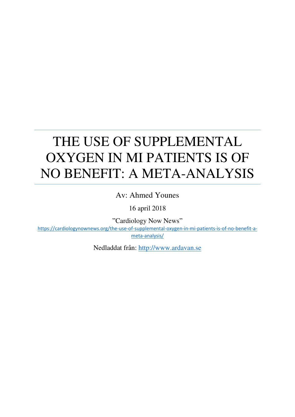## THE USE OF SUPPLEMENTAL OXYGEN IN MI PATIENTS IS OF NO BENEFIT: A META-ANALYSIS

Av: Ahmed Younes

16 april 2018

"Cardiology Now News"

[https://cardiologynownews.org/the-use-of-supplemental-oxygen-in-mi-patients-is-of-no-benefit-a](https://cardiologynownews.org/the-use-of-supplemental-oxygen-in-mi-patients-is-of-no-benefit-a-meta-analysis/)[meta-analysis/](https://cardiologynownews.org/the-use-of-supplemental-oxygen-in-mi-patients-is-of-no-benefit-a-meta-analysis/)

Nedladdat från: [http://www.ardavan.se](http://www.ardavan.se/)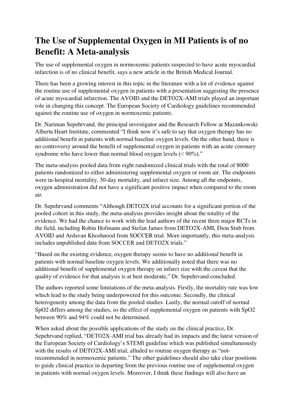## **The Use of Supplemental Oxygen in MI Patients is of no Benefit: A Meta-analysis**

The use of supplemental oxygen in normoxemic patients suspected to have acute myocardial infarction is of no clinical benefit, says a new article in the British Medical Journal.

There has been a growing interest in this topic in the literature with a lot of evidence against the routine use of supplemental oxygen in patients with a presentation suggesting the presence of acute myocardial infarction. The AVOID and the DETO2X-AMI trials played an important role in changing this concept. The European Society of Cardiology guidelines recommended against the routine use of oxygen in normoxemic patients.

Dr. Nariman Sepehrvand, the principal investigator and the Research Fellow at Mazankowski Alberta Heart Institute, commented "I think now it's safe to say that oxygen therapy has no additional benefit in patients with normal baseline oxygen levels. On the other hand, there is no controversy around the benefit of supplemental oxygen in patients with an acute coronary syndrome who have lower than normal blood oxygen levels  $(< 90\%$ )."

The meta-analysis pooled data from eight randomized clinical trials with the total of 8000 patients randomized to either administering supplemental oxygen or room air. The endpoints were in-hospital mortality, 30-day mortality, and infarct size. Among all the endpoints, oxygen administration did not have a significant positive impact when compared to the room air.

Dr. Sepehrvand comments "Although DETO2X trial accounts for a significant portion of the pooled cohort in this study, the meta-analysis provides insight about the totality of the evidence. We had the chance to work with the lead authors of the recent three major RCTs in the field, including Robin Hofmann and Stefan James from DETO2X-AMI, Dion Stub from AVOID and Ardavan Khoshnood from SOCCER trial. More importantly, this meta-analysis includes unpublished data from SOCCER and DETO2X trials."

"Based on the existing evidence, oxygen therapy seems to have no additional benefit in patients with normal baseline oxygen levels. We additionally noted that there was no additional benefit of supplemental oxygen therapy on infarct size with the caveat that the quality of evidence for that analysis is at best moderate," Dr. Sepehrvand concluded.

The authors reported some limitations of the meta-analysis. Firstly, the mortality rate was low which lead to the study being underpowered for this outcome. Secondly, the clinical heterogeneity among the data from the pooled studies. Lastly, the normal cutoff of normal SpO2 differs among the studies, so the effect of supplemental oxygen on patients with SpO2 between 90% and 94% could not be determined.

When asked about the possible applications of the study on the clinical practice, Dr. Sepehrvand replied, "DETO2X-AMI trial has already had its impacts and the latest version of the European Society of Cardiology's STEMI guideline which was published simultaneously with the results of DETO2X-AMI trial, alluded to routine oxygen therapy as "notrecommended in normoxemic patients." The other guidelines should also take clear positions to guide clinical practice in departing from the previous routine use of supplemental oxygen in patients with normal oxygen levels. Moreover, I think these findings will also have an